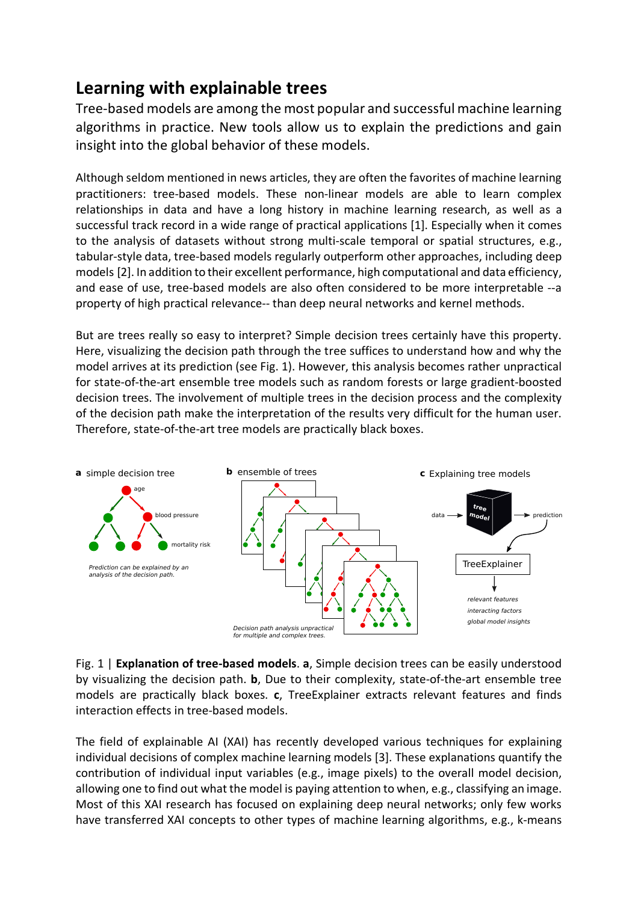## **Learning with explainable trees**

Tree-based models are among the most popular and successful machine learning algorithms in practice. New tools allow us to explain the predictions and gain insight into the global behavior of these models.

Although seldom mentioned in news articles, they are often the favorites of machine learning practitioners: tree-based models. These non-linear models are able to learn complex relationships in data and have a long history in machine learning research, as well as a successful track record in a wide range of practical applications [1]. Especially when it comes to the analysis of datasets without strong multi-scale temporal or spatial structures, e.g., tabular-style data, tree-based models regularly outperform other approaches, including deep models [2]. In addition to their excellent performance, high computational and data efficiency, and ease of use, tree-based models are also often considered to be more interpretable --a property of high practical relevance-- than deep neural networks and kernel methods.

But are trees really so easy to interpret? Simple decision trees certainly have this property. Here, visualizing the decision path through the tree suffices to understand how and why the model arrives at its prediction (see Fig. 1). However, this analysis becomes rather unpractical for state-of-the-art ensemble tree models such as random forests or large gradient-boosted decision trees. The involvement of multiple trees in the decision process and the complexity of the decision path make the interpretation of the results very difficult for the human user. Therefore, state-of-the-art tree models are practically black boxes.



Fig. 1 | **Explanation of tree-based models**. **a**, Simple decision trees can be easily understood by visualizing the decision path. **b**, Due to their complexity, state-of-the-art ensemble tree models are practically black boxes. **c**, TreeExplainer extracts relevant features and finds interaction effects in tree-based models.

The field of explainable AI (XAI) has recently developed various techniques for explaining individual decisions of complex machine learning models [3]. These explanations quantify the contribution of individual input variables (e.g., image pixels) to the overall model decision, allowing one to find out what the model is paying attention to when, e.g., classifying an image. Most of this XAI research has focused on explaining deep neural networks; only few works have transferred XAI concepts to other types of machine learning algorithms, e.g., k-means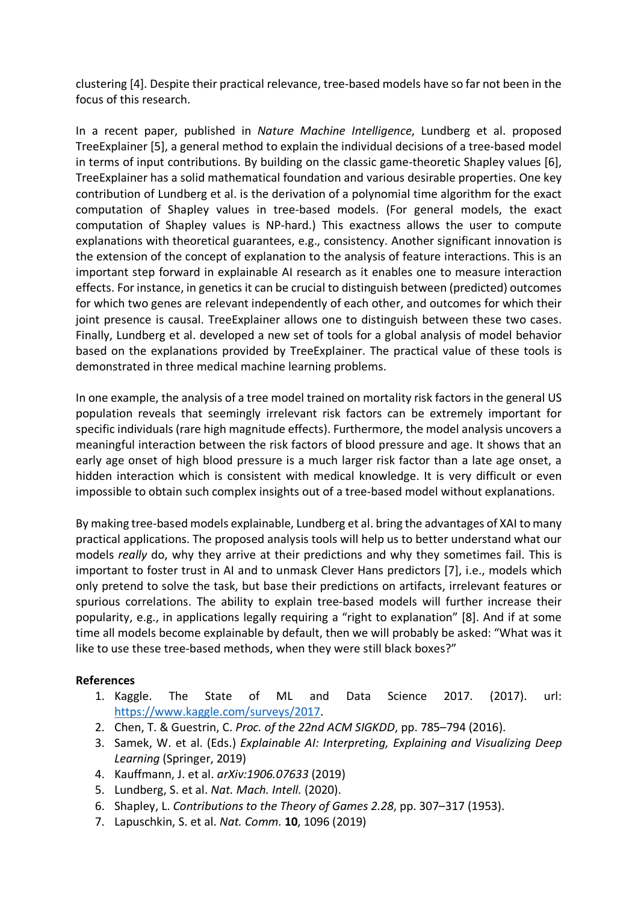clustering [4]. Despite their practical relevance, tree-based models have so far not been in the focus of this research.

In a recent paper, published in *Nature Machine Intelligence*, Lundberg et al. proposed TreeExplainer [5], a general method to explain the individual decisions of a tree-based model in terms of input contributions. By building on the classic game-theoretic Shapley values [6], TreeExplainer has a solid mathematical foundation and various desirable properties. One key contribution of Lundberg et al. is the derivation of a polynomial time algorithm for the exact computation of Shapley values in tree-based models. (For general models, the exact computation of Shapley values is NP-hard.) This exactness allows the user to compute explanations with theoretical guarantees, e.g., consistency. Another significant innovation is the extension of the concept of explanation to the analysis of feature interactions. This is an important step forward in explainable AI research as it enables one to measure interaction effects. For instance, in genetics it can be crucial to distinguish between (predicted) outcomes for which two genes are relevant independently of each other, and outcomes for which their joint presence is causal. TreeExplainer allows one to distinguish between these two cases. Finally, Lundberg et al. developed a new set of tools for a global analysis of model behavior based on the explanations provided by TreeExplainer. The practical value of these tools is demonstrated in three medical machine learning problems.

In one example, the analysis of a tree model trained on mortality risk factors in the general US population reveals that seemingly irrelevant risk factors can be extremely important for specific individuals (rare high magnitude effects). Furthermore, the model analysis uncovers a meaningful interaction between the risk factors of blood pressure and age. It shows that an early age onset of high blood pressure is a much larger risk factor than a late age onset, a hidden interaction which is consistent with medical knowledge. It is very difficult or even impossible to obtain such complex insights out of a tree-based model without explanations.

By making tree-based models explainable, Lundberg et al. bring the advantages of XAI to many practical applications. The proposed analysis tools will help us to better understand what our models *really* do, why they arrive at their predictions and why they sometimes fail. This is important to foster trust in AI and to unmask Clever Hans predictors [7], i.e., models which only pretend to solve the task, but base their predictions on artifacts, irrelevant features or spurious correlations. The ability to explain tree-based models will further increase their popularity, e.g., in applications legally requiring a "right to explanation" [8]. And if at some time all models become explainable by default, then we will probably be asked: "What was it like to use these tree-based methods, when they were still black boxes?"

## **References**

- 1. Kaggle. The State of ML and Data Science 2017. (2017). url: https://www.kaggle.com/surveys/2017.
- 2. Chen, T. & Guestrin, C. *Proc. of the 22nd ACM SIGKDD*, pp. 785–794 (2016).
- 3. Samek, W. et al. (Eds.) *Explainable AI: Interpreting, Explaining and Visualizing Deep Learning* (Springer, 2019)
- 4. Kauffmann, J. et al. *arXiv:1906.07633* (2019)
- 5. Lundberg, S. et al. *Nat. Mach. Intell.* (2020).
- 6. Shapley, L. *Contributions to the Theory of Games 2.28*, pp. 307–317 (1953).
- 7. Lapuschkin, S. et al. *Nat. Comm.* **10**, 1096 (2019)